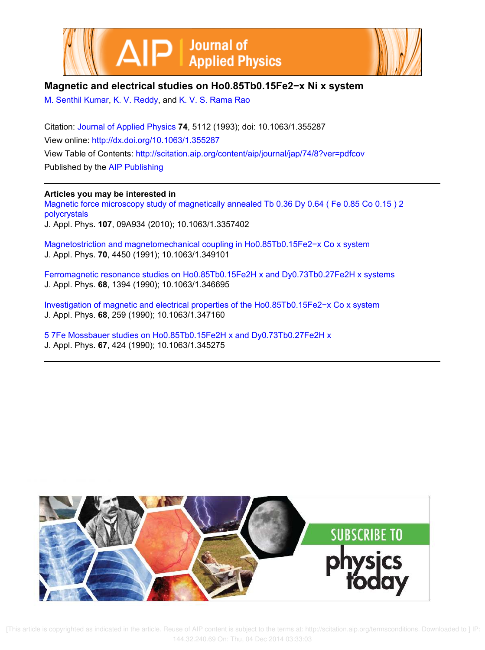



## **Magnetic and electrical studies on Ho0.85Tb0.15Fe2−x Ni x system**

M. Senthil Kumar, K. V. Reddy, and K. V. S. Rama Rao

Citation: Journal of Applied Physics **74**, 5112 (1993); doi: 10.1063/1.355287 View online: http://dx.doi.org/10.1063/1.355287 View Table of Contents: http://scitation.aip.org/content/aip/journal/jap/74/8?ver=pdfcov Published by the AIP Publishing

## **Articles you may be interested in**

Magnetic force microscopy study of magnetically annealed Tb 0.36 Dy 0.64 ( Fe 0.85 Co 0.15 ) 2 polycrystals J. Appl. Phys. **107**, 09A934 (2010); 10.1063/1.3357402

Magnetostriction and magnetomechanical coupling in Ho0.85Tb0.15Fe2−x Co x system J. Appl. Phys. **70**, 4450 (1991); 10.1063/1.349101

Ferromagnetic resonance studies on Ho0.85Tb0.15Fe2H x and Dy0.73Tb0.27Fe2H x systems J. Appl. Phys. **68**, 1394 (1990); 10.1063/1.346695

Investigation of magnetic and electrical properties of the Ho0.85Tb0.15Fe2−x Co x system J. Appl. Phys. **68**, 259 (1990); 10.1063/1.347160

5 7Fe Mossbauer studies on Ho0.85Tb0.15Fe2H x and Dy0.73Tb0.27Fe2H x J. Appl. Phys. **67**, 424 (1990); 10.1063/1.345275



 [This article is copyrighted as indicated in the article. Reuse of AIP content is subject to the terms at: http://scitation.aip.org/termsconditions. Downloaded to ] IP: 144.32.240.69 On: Thu, 04 Dec 2014 03:33:03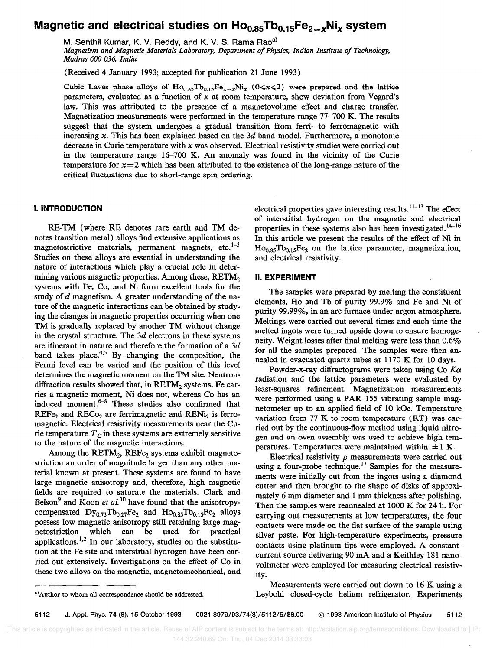# Magnetic and electrical studies on  $Ho<sub>0.85</sub>Tb<sub>0.15</sub>Fe<sub>2-x</sub>Ni<sub>x</sub>$  system

M. Senthil Kumar, K. V. Reddy, and K. V. S. Rama Rao<sup>a)</sup> Magnetism and Magnetic Materials Laboratoty, Department of Physics, Indian Institute of Technology, Madras 600 036, India

(Received 4 January 1993; accepted for publication 21 June 1993)

Cubic Laves phase alloys of  $Ho_{0.85}Tb_{0.15}Fe_{2-x}Ni_x$  (0<x<2) were prepared and the lattice parameters, evaluated as a function of  $x$  at room temperature, show deviation from Vegard's law. This was attributed to the presence of a magnetovolume effect and charge transfer. Magnetization measurements were performed in the temperature range 77-700 K. The results suggest that the system undergoes a gradual transition from ferri- to ferromagnetic with increasing  $x$ . This has been explained based on the  $3d$  band model. Furthermore, a monotonic decrease in Curie temperature with  $x$  was observed. Electrical resistivity studies were carried out in the temperature range 16-700 K. An anomaly was found in the vicinity of the Curie temperature for  $x=2$  which has been attributed to the existence of the long-range nature of the critical fluctuations due to short-range spin ordering.

#### I. INTRODUCTION

RE-TM (where RE denotes rare earth and TM denotes transition metal) alloys find extensive applications as magnetostrictive materials, permanent magnets, etc. $1-3$ Studies on these alloys are essential in understanding the nature of interactions which play a crucial role in determining various magnetic properties. Among these, RETM<sub>2</sub> systems with Fe, Co, and Ni form excellent tools for the study of d magnetism. A greater understanding of the nature of the magnetic interactions can be obtained by studying the changes in magnetic properties occurring when one TM is gradually replaced by another TM without change in the crystal structure. The  $3d$  electrons in these systems are itinerant in nature and therefore the formation of a 3d band takes place.<sup>4,5</sup> By changing the composition, the Fermi level can be varied and the position of this level determines the magnetic moment on the TM site. Neutrondiffraction results showed that, in RETM<sub>2</sub> systems, Fe carries a magnetic moment, Ni does not, whereas Co has an induced moment. $6-8$  These studies also confirmed that  $REF_{\mathcal{C}_2}$  and  $REC_{\mathcal{O}_2}$  are ferrimagnetic and  $RENi_2$  is ferromagnetic. Electrical resistivity measurements near the Curie temperature  $T_c$  in these systems are extremely sensitive to the nature of the magnetic interactions.

Among the  $RETM_2$ ,  $REFe_2$  systems exhibit magnetostriction an order of magnitude larger than any other material known at present. These systems are found to have large magnetic anisotropy and, therefore, high magnetic fields are required to saturate the materials. Clark and Belson<sup>9</sup> and Koon et al.<sup>10</sup> have found that the anisotropycompensated  $\text{Dy}_{0.73}\text{Tb}_{0.27}\text{Fe}_2$  and  $\text{Ho}_{0.85}\text{Tb}_{0.15}\text{Fe}_2$  alloys possess low magnetic anisotropy still retaining large magnetostriction which can be used for practical applications.<sup>1,2</sup> In our laboratory, studies on the substitution at the Fe site and interstitial hydrogen have been carried out extensively. Investigations on the effect of Co in these two alloys on the magnetic, magnetomechanical, and electrical properties gave interesting results. $11-13$  The effect of interstitial hydrogen on the magnetic and electrical properties in these systems also has been investigated.<sup>14-16</sup> In this article we present the results of the effect of Ni in  $Ho<sub>0.85</sub>Tb<sub>0.15</sub>Fe<sub>2</sub>$  on the lattice parameter, magnetization, and electrical resistivity.

#### II. EXPERIMENT

The samples were prepared by melting the constituent elements, Ho and Tb of purity 99.9% and Fe and Ni of purity 99.99%, in an arc furnace under argon atmosphere. Meltings were carried out several times and each time the melted ingots were turned upside down to ensure homogeneity. Weight losses after final melting were less than 0.6% for all the samples prepared. The samples were then annealed in evacuated quartz tubes at 1170 K for 10 days.

Powder-x-ray diffractograms were taken using Co  $K\alpha$ radiation and the lattice parameters were evaluated by least-squares refinement. Magnetization measurements were performed using a PAR 155 vibrating sample magnetometer up to an applied field of 10 kOe. Temperature variation from 77 K to room temperature (RT) was carried out by the continuous-flow method using liquid nitrogen and an oven assembly was used to achieve high temperatures. Temperatures were maintained within  $\pm 1$  K.

Electrical resistivity  $\rho$  measurements were carried out using a four-probe technique.<sup>17</sup> Samples for the measurements were initially cut from the ingots using a diamond cutter and then brought to the shape of disks of approximately 6 mm diameter and 1 mm thickness after polishing. Then the samples were reannealed at 1000 K for 24 h. For carrying out measurements at low temperatures, the four contacts were made on the flat surface of the sample using silver paste. For high-temperature experiments, pressure contacts using platinum tips were employed. A constantcurrent source delivering 90 mA and a Keithley 181 nanovoltmeter were employed for measuring electrical resistivity.

Measurements were carried out down to 16 K using a Leybold closed-cycle helium refrigerator. Experiments

<sup>&#</sup>x27;)Author to whom all correspondence should be addressed.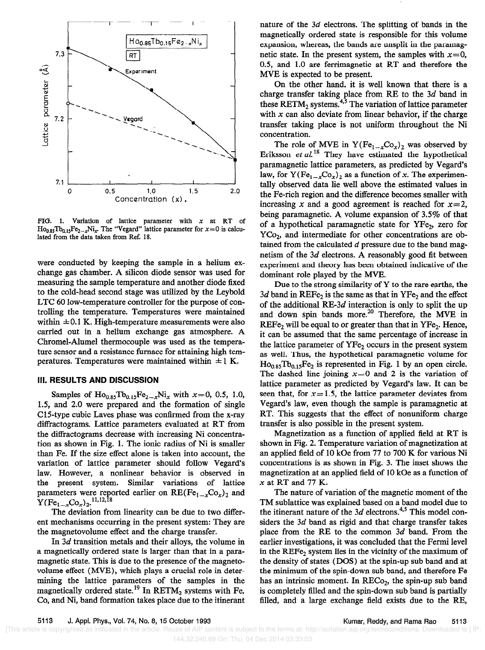

FIG. 1. Variation of lattice parameter with  $x$  at RT of  $Ho_{0.85}Tb_{0.15}Fe_{2-x}Ni_x$ . The "Vegard" lattice parameter for  $x=0$  is calculated from the data taken from Ref. 18.

were conducted by keeping the sample in a helium exchange gas chamber. A silicon diode sensor was used for measuring the sample temperature and another diode fixed to the cold-head second stage was utilized by the Leybold LTC 60 low-temperature controller for the purpose of controlling the temperature. Temperatures were maintained within  $\pm 0.1$  K. High-temperature measurements were also carried out in a helium exchange gas atmosphere. A Chromel-Alumel thermocouple was used as the temperature sensor and a resistance furnace for attaining high temperatures. Temperatures were maintained within  $\pm 1$  K.

#### Ill. RESULTS AND DISCUSSION

Samples of  $\text{Ho}_{0.85}\text{To}_{0.15}\text{Fe}_{2-x}\text{Ni}_x$  with  $x=0$ , 0.5, 1.0, 1.5, and 2.0 were prepared and the formation of single C15-type cubic Laves phase was confirmed from the x-ray diffractograms. Lattice parameters evaluated at RT from the diffractograms decrease with increasing Ni concentration as shown in Fig. 1. The ionic radius of Ni is smaller than Fe. If the size effect alone is taken into account, the variation of lattice parameter should follow Vegard's law. However, a nonlinear behavior is observed in the present system. Similar variations of lattice parameters were reported earlier on  $RE(Fe_{1-x}Co_{x})_{2}$  and  $Y(Fe_{1-x}Co_x)_2$ , 11, 12, 18

The deviation from linearity can be due to two different mechanisms occurring in the present system: They are the magnetovolume effect and the charge transfer.

In 3d transition metals and their alloys, the volume in a magnetically ordered state is larger than that in a paramagnetic state. This is due to the presence of the magnetovolume effect (MVE), which plays a crucial role in determining the lattice parameters of the samples in the magnetically ordered state.<sup>19</sup> In RETM<sub>2</sub> systems with Fe, Co, and Ni, band formation takes place due to the itinerant

nature of the 3d electrons. The splitting of bands in the magnetically ordered state is responsible for this volume expansion, whereas, the bands are unsplit in the paramagnetic state. In the present system, the samples with  $x=0$ , 0.5, and 1.0 are ferrimagnetic at RT and therefore the MVE is expected to be present.

On the other hand, it is well known that there is a charge transfer taking place from RE to the 3d band in these  $RETM_2$  systems.<sup>4,5</sup> The variation of lattice parameter with  $x$  can also deviate from linear behavior, if the charge transfer taking place is not uniform throughout the Ni concentration.

The role of MVE in  $Y (Fe_{1-x}Co_x)_2$  was observed by Eriksson et  $al$ <sup>18</sup> They have estimated the hypothetical paramagnetic lattice parameters, as predicted by Vegard's law, for  $Y(Fe_{1-x}Co_x)_2$  as a function of x. The experimentally observed data lie well above the estimated values in the Fe-rich region and the difference becomes smaller with increasing x and a good agreement is reached for  $x=2$ , being paramagnetic. A volume expansion of 3.5% of that of a hypothetical paramagnetic state for YFe, zero for  $YCo<sub>2</sub>$ , and intermediate for other concentrations are obtained from the calculated  $d$  pressure due to the band magnetism of the 3d electrons. A reasonably good fit between experiment and theory has been obtained indicative of the dominant role played by the MVE.

Due to the strong similarity of Y to the rare earths, the 3d band in  $REF_{2}$  is the same as that in  $YFe_{2}$  and the effect of the additional RE-3d interaction is only to split the up and down spin bands more.<sup>20</sup> Therefore, the MVE in  $REF_{2}$  will be equal to or greater than that in  $YFe_{2}$ . Hence, it can be assumed that the same percentage of increase in the lattice parameter of YFe, occurs in the present system as well. Thus, the hypothetical paramagnetic volume for  $Ho<sub>0.85</sub> Tb<sub>0.15</sub>Fe<sub>2</sub>$  is represented in Fig. 1 by an open circle. The dashed line joining  $x=0$  and 2 is the variation of lattice parameter as predicted by Vegard's law. It can be seen that, for  $x = 1.5$ , the lattice parameter deviates from Vegard's law, even though the sample is paramagnetic at RT. This suggests that the effect of nonuniform charge transfer is also possible in the present system.

Magnetization as a function of applied field at RT is shown in Fig. 2. Temperature variation of magnetization at an applied field of 10 kOe from 77 to 700 K for various Ni concentrations is as shown in Fig. 3. The inset shows the magnetization at an applied field of 10 kOe as a function of  $x$  at RT and 77 K.

The nature of variation of the magnetic moment of the TM sublattice was explained based on a band model due to the itinerant nature of the  $3d$  electrons.<sup>4,5</sup> This model considers the 3d band as rigid and that charge transfer takes place from the RE to the common 3d band. From the earlier investigations, it was concluded that the Fermi level in the REFe<sub>2</sub> system lies in the vicinity of the maximum of the density of states (DOS) at the spin-up sub band and at the minimum of the spin-down sub band, and therefore Fe has an intrinsic moment. In RECo<sub>2</sub>, the spin-up sub band is completely filled and the spin-down sub band is partially filled, and a large exchange field exists due to the RE,

 <sup>[</sup>This article is copyrighted as indicated in the article. Reuse of AIP content is subject to the terms at: http://scitation.aip.org/termsconditions. Downloaded to ] IP: 144.32.240.69 On: Thu, 04 Dec 2014 03:33:03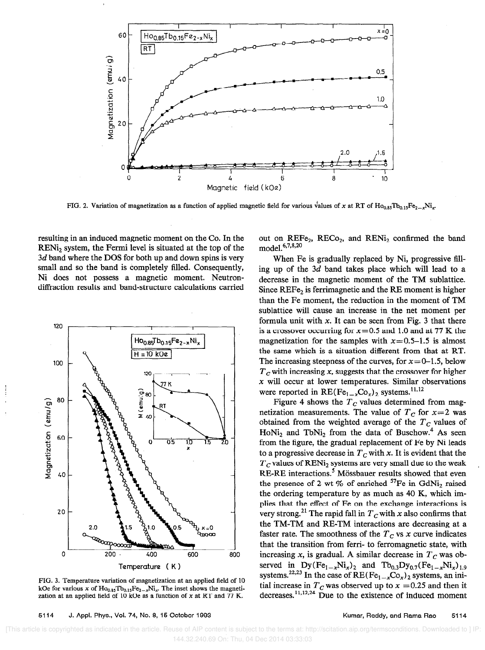

FIG. 2. Variation of magnetization as a function of applied magnetic field for various values of x at RT of Ho<sub>0.85</sub>Tb<sub>0.15</sub>F<sub>e<sub>2</sub> Ni<sub>x</sub>.</sub>

resulting in an induced magnetic moment on the Co. In the RENi, system, the Fermi level is situated at the top of the 3d band where the DOS for both up and down spins is very small and so the band is completely filled. Consequently, Ni does not possess a magnetic moment. Neutrondiffraction results and band-structure calculations carried



FIG. 3. Temperature variation of magnetization at an applied field of 10 kOe for various x of  $Ho_{0.85}Tb_{0.15}Fe_{2-x}Ni_x$ . The inset shows the magnetization at an applied field of 10 kOe as a function of  $x$  at RT and 77 K.

out on  $REF_{2}$ ,  $REC_{2}$ , and  $RENi<sub>2</sub>$  confirmed the band  $mode1^{6,7,8,20}$ 

When Fe is gradually replaced by Ni, progressive filling up of the 3d band takes place which will lead to a decrease in the magnetic moment of the TM sublattice. Since  $REF_{2}$  is ferrimagnetic and the RE moment is higher than the Fe moment, the reduction in the moment of TM sublattice will cause an increase in the net moment per formula unit with x. It can be seen from Fig. 3 that there is a crossover occurring for  $x=0.5$  and 1.0 and at 77 K the magnetization for the samples with  $x=0.5-1.5$  is almost the same which is a situation different from that at RT. The increasing steepness of the curves, for  $x=0-1.5$ , below  $T_c$  with increasing x, suggests that the crossover for higher  $x$  will occur at lower temperatures. Similar observations were reported in  $RE(Fe_{1-x}Co_x)_2$  systems.<sup>11,12</sup>

Figure 4 shows the  $T_c$  values determined from magnetization measurements. The value of  $T_c$  for  $x=2$  was obtained from the weighted average of the  $T_c$  values of  $HoNi<sub>2</sub>$  and  $TbNi<sub>2</sub>$  from the data of Buschow.<sup>4</sup> As seen from the figure, the gradual replacement of Fe by Ni leads to a progressive decrease in  $T_c$  with x. It is evident that the  $T_c$  values of RENi<sub>2</sub> systems are very small due to the weak RE-RE interactions.<sup>5</sup> Mössbauer results showed that even the presence of 2 wt % of enriched  ${}^{57}Fe$  in GdNi<sub>2</sub> raised the ordering temperature by as much as 40 K, which implies that the effect of Fe on the exchange interactions is very strong.<sup>21</sup> The rapid fall in  $T_c$  with x also confirms that the TM-TM and RE-TM interactions are decreasing at a faster rate. The smoothness of the  $T_c$  vs x curve indicates that the transition from ferri- to ferromagnetic state, with increasing x, is gradual. A similar decrease in  $T_c$  was observed in  $\text{Dy}(Fe_{1-x}\text{Ni}_x)_2$  and  $\text{Tb}_{0.3}\text{Dy}_{0.7}(Fe_{1-x}\text{Ni}_x)_{1.9}$ systems.<sup>22,23</sup> In the case of  $RE(Fe_{1-x}Co_x)_2$  systems, an initial increase in  $T_c$  was observed up to  $x = 0.25$  and then it decreases. $^{11,12,24}$  Due to the existence of induced moment

 <sup>[</sup>This article is copyrighted as indicated in the article. Reuse of AIP content is subject to the terms at: http://scitation.aip.org/termsconditions. Downloaded to ] IP: 144.32.240.69 On: Thu, 04 Dec 2014 03:33:03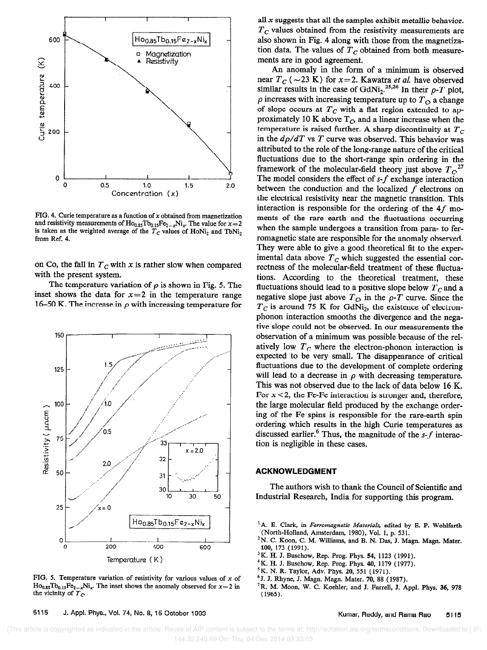

FIG. 4. Curie temperature as a function of  $x$  obtained from magnetization and resistivity measurements of  $Ho_{0.85}Tb_{0.15}Fe_{2-x}Ni_x$ . The value for  $x=2$ is taken as the weighted average of the  $T_c$  values of HoNi, and TbNi, from Ref. 4.

on Co, the fall in  $T_c$  with x is rather slow when compared with the present system.

The temperature variation of  $\rho$  is shown in Fig. 5. The inset shows the data for  $x=2$  in the temperature range 16-50 K. The increase in  $\rho$  with increasing temperature for



FIG. 5. Temperature variation of resistivity for various values of  $x$  of  $Ho<sub>0.85</sub>Tb<sub>0.15</sub>Fe<sub>2-x</sub>Ni<sub>x</sub>$ . The inset shows the anomaly observed for  $x=2$  in the vicinity of  $T<sub>C</sub>$ 

all  $x$  suggests that all the samples exhibit metallic behavior.  $T_c$  values obtained from the resistivity measurements are also shown in Fig. 4 along with those from the magnetization data. The values of  $T_c$  obtained from both measurements are in good agreement.

An anomaly in the form of a minimum is observed near  $T_c$  (  $\sim$  23 K) for x=2. Kawatra *et al.* have observed similar results in the case of GdNi<sub>2</sub>.<sup>25,26</sup> In their  $\rho$ -T plot,  $\rho$  increases with increasing temperature up to  $T_{\alpha}$  a change of slope occurs at  $T_c$  with a flat region extended to approximately 10 K above  $T_{\rm C}$  and a linear increase when the temperature is raised further. A sharp discontinuity at  $T<sub>C</sub>$ in the  $d\rho/dT$  vs T curve was observed. This behavior was attributed to the role of the long-range nature of the critical fluctuations due to the short-range spin ordering in the framework of the molecular-field theory just above  $T_{C}^{27}$ The model considers the effect of  $s$ - $f$  exchange interaction between the conduction and the localized  $f$  electrons on the electrical resistivity near the magnetic transition. This interaction is responsible for the ordering of the  $4f$  moments of the rare earth and the fluctuations occurring when the sample undergoes a transition from para- to ferromagnetic state are responsible for the anomaly observed. They were able to give a good theoretical fit to the experimental data above  $T_c$  which suggested the essential correctness of the molecular-field treatment of these fluctuations. According to the theoretical treatment, these fluctuations should lead to a positive slope below  $T_c$  and a negative slope just above  $T<sub>C</sub>$  in the  $\rho$ -T curve. Since the  $T_c$  is around 75 K for GdNi<sub>2</sub>, the existence of electronphonon interaction smooths the divergence and the negative slope could not be observed. In our measurements the observation of a minimum was possible because of the relatively low  $T_c$  where the electron-phonon interaction is expected to be very small. The disappearance of critical fluctuations due to the development of complete ordering will lead to a decrease in  $\rho$  with decreasing temperature. This was not observed due to the lack of data below 16 K. For  $x < 2$ , the Fe-Fe interaction is stronger and, therefore, the large molecular field produced by the exchange ordering of the Fe spins is responsible for the rare-earth spin ordering which results in the high Curie temperatures as discussed earlier.<sup>6</sup> Thus, the magnitude of the  $s$ -f interaction is negligible in these cases.

### ACKNOWLEDGMENT

The authors wish to thank the Council of Scientific and Industrial Research, India for supporting this program.

- <sup>1</sup>A. E. Clark, in Ferromagnetic Materials, edited by E. P. Wohlfarth (North-Holland, Amsterdam, 1980), Vol. 1, p. 531.
- 2N. C. Koon, C. M. Williams, and B. N. Das, J. Magn. Magn. Mater. 100, 173 (1991).
- <sup>3</sup>K. H. J. Buschow, Rep. Prog. Phys. 54, 1123 (1991).
- 4K. H. J. Buschow, Rep. Prog. Phys. 40, 1179 (1977).
- <sup>5</sup>K. N. R. Taylor, Adv. Phys. 20, 551 (1971).
- <sup>6</sup> J. J. Rhyne, J. Magn. Magn. Mater. 70, 88 (1987).
- 'R. M. Moon, W. C. Koehler, and J. Farrell, J. Appl. Phys. 36, 978 (1965).

5115 J. Appl. Phys., Vol. 74, No. 8, 15 October 1993 Kumar, Reddy, and Rama Rao 5115